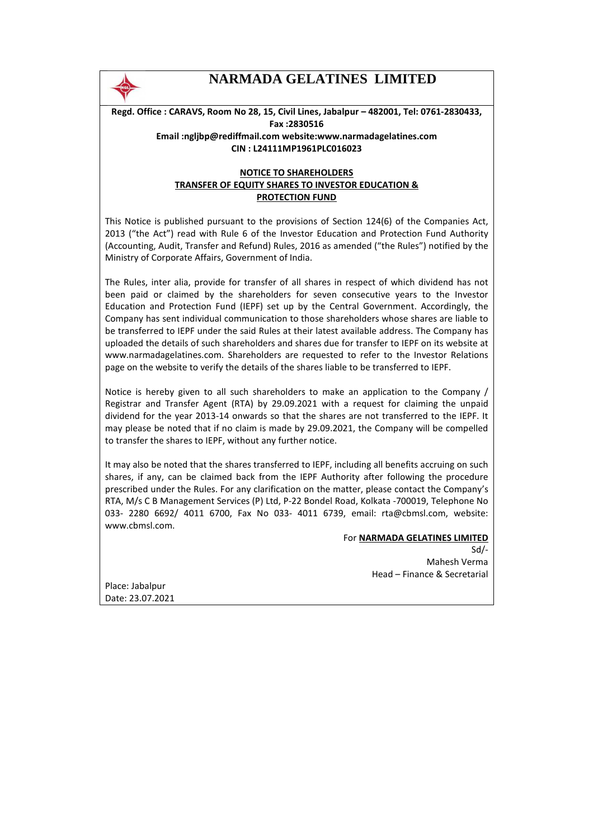

# **NARMADA GELATINES LIMITED**

**Regd. Office : CARAVS, Room No 28, 15, Civil Lines, Jabalpur – 482001, Tel: 0761-2830433, Fax :2830516 Email :ngljbp@rediffmail.com website:www.narmadagelatines.com CIN : L24111MP1961PLC016023** 

## **NOTICE TO SHAREHOLDERS TRANSFER OF EQUITY SHARES TO INVESTOR EDUCATION & PROTECTION FUND**

This Notice is published pursuant to the provisions of Section 124(6) of the Companies Act, 2013 ("the Act") read with Rule 6 of the Investor Education and Protection Fund Authority (Accounting, Audit, Transfer and Refund) Rules, 2016 as amended ("the Rules") notified by the Ministry of Corporate Affairs, Government of India.

The Rules, inter alia, provide for transfer of all shares in respect of which dividend has not been paid or claimed by the shareholders for seven consecutive years to the Investor Education and Protection Fund (IEPF) set up by the Central Government. Accordingly, the Company has sent individual communication to those shareholders whose shares are liable to be transferred to IEPF under the said Rules at their latest available address. The Company has uploaded the details of such shareholders and shares due for transfer to IEPF on its website at www.narmadagelatines.com. Shareholders are requested to refer to the Investor Relations page on the website to verify the details of the shares liable to be transferred to IEPF.

Notice is hereby given to all such shareholders to make an application to the Company / Registrar and Transfer Agent (RTA) by 29.09.2021 with a request for claiming the unpaid dividend for the year 2013-14 onwards so that the shares are not transferred to the IEPF. It may please be noted that if no claim is made by 29.09.2021, the Company will be compelled to transfer the shares to IEPF, without any further notice.

It may also be noted that the shares transferred to IEPF, including all benefits accruing on such shares, if any, can be claimed back from the IEPF Authority after following the procedure prescribed under the Rules. For any clarification on the matter, please contact the Company's RTA, M/s C B Management Services (P) Ltd, P-22 Bondel Road, Kolkata -700019, Telephone No 033- 2280 6692/ 4011 6700, Fax No 033- 4011 6739, email: rta@cbmsl.com, website: www.cbmsl.com.

### For **NARMADA GELATINES LIMITED**

Sd/- Mahesh Verma Head – Finance & Secretarial

Place: Jabalpur Date: 23.07.2021